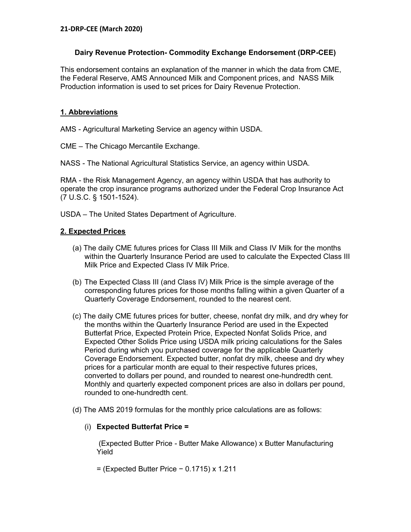## **Dairy Revenue Protection- Commodity Exchange Endorsement (DRP-CEE)**

This endorsement contains an explanation of the manner in which the data from CME, the Federal Reserve, AMS Announced Milk and Component prices, and NASS Milk Production information is used to set prices for Dairy Revenue Protection.

### **1. Abbreviations**

AMS - Agricultural Marketing Service an agency within USDA.

CME – The Chicago Mercantile Exchange.

NASS - The National Agricultural Statistics Service, an agency within USDA.

RMA - the Risk Management Agency, an agency within USDA that has authority to operate the crop insurance programs authorized under the Federal Crop Insurance Act (7 U.S.C. § 1501-1524).

USDA – The United States Department of Agriculture.

### **2. Expected Prices**

- (a) The daily CME futures prices for Class III Milk and Class IV Milk for the months within the Quarterly Insurance Period are used to calculate the Expected Class III Milk Price and Expected Class IV Milk Price.
- (b) The Expected Class III (and Class IV) Milk Price is the simple average of the corresponding futures prices for those months falling within a given Quarter of a Quarterly Coverage Endorsement, rounded to the nearest cent.
- (c) The daily CME futures prices for butter, cheese, nonfat dry milk, and dry whey for the months within the Quarterly Insurance Period are used in the Expected Butterfat Price, Expected Protein Price, Expected Nonfat Solids Price, and Expected Other Solids Price using USDA milk pricing calculations for the Sales Period during which you purchased coverage for the applicable Quarterly Coverage Endorsement. Expected butter, nonfat dry milk, cheese and dry whey prices for a particular month are equal to their respective futures prices, converted to dollars per pound, and rounded to nearest one-hundredth cent. Monthly and quarterly expected component prices are also in dollars per pound, rounded to one-hundredth cent.
- (d) The AMS 2019 formulas for the monthly price calculations are as follows:

### (i) **Expected Butterfat Price =**

(Expected Butter Price - Butter Make Allowance) x Butter Manufacturing Yield

= (Expected Butter Price − 0.1715) x 1.211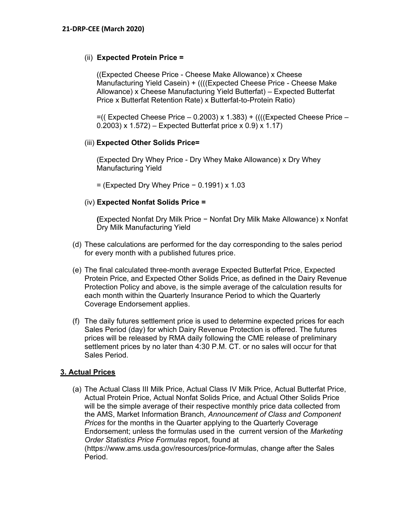## (ii) **Expected Protein Price =**

((Expected Cheese Price - Cheese Make Allowance) x Cheese Manufacturing Yield Casein) + ((((Expected Cheese Price - Cheese Make Allowance) x Cheese Manufacturing Yield Butterfat) – Expected Butterfat Price x Butterfat Retention Rate) x Butterfat-to-Protein Ratio)

 $=$  ((Expected Cheese Price  $-$  0.2003) x 1.383) + ((((Expected Cheese Price  $-$ 0.2003) x 1.572) – Expected Butterfat price x 0.9) x 1.17)

### (iii) **Expected Other Solids Price=**

(Expected Dry Whey Price - Dry Whey Make Allowance) x Dry Whey Manufacturing Yield

= (Expected Dry Whey Price − 0.1991) x 1.03

## (iv) **Expected Nonfat Solids Price =**

**(**Expected Nonfat Dry Milk Price − Nonfat Dry Milk Make Allowance) x Nonfat Dry Milk Manufacturing Yield

- (d) These calculations are performed for the day corresponding to the sales period for every month with a published futures price.
- (e) The final calculated three-month average Expected Butterfat Price, Expected Protein Price, and Expected Other Solids Price, as defined in the Dairy Revenue Protection Policy and above, is the simple average of the calculation results for each month within the Quarterly Insurance Period to which the Quarterly Coverage Endorsement applies.
- (f) The daily futures settlement price is used to determine expected prices for each Sales Period (day) for which Dairy Revenue Protection is offered. The futures prices will be released by RMA daily following the CME release of preliminary settlement prices by no later than 4:30 P.M. CT. or no sales will occur for that Sales Period.

### **3. Actual Prices**

(a) The Actual Class III Milk Price, Actual Class IV Milk Price, Actual Butterfat Price, Actual Protein Price, Actual Nonfat Solids Price, and Actual Other Solids Price will be the simple average of their respective monthly price data collected from the AMS, Market Information Branch, *Announcement of Class and Component Prices* for the months in the Quarter applying to the Quarterly Coverage Endorsement; unless the formulas used in the current version of the *Marketing Order Statistics Price Formulas* report, found at (https://www.ams.usda.gov/resources/price-formulas, change after the Sales Period.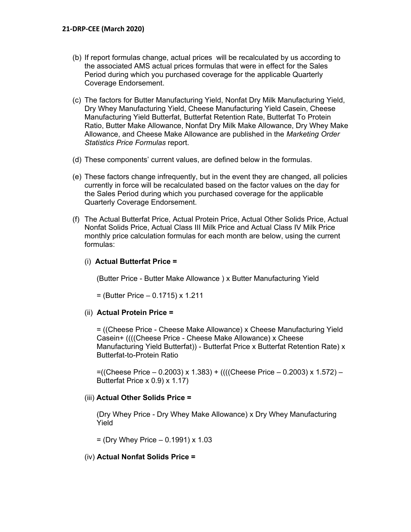- (b) If report formulas change, actual prices will be recalculated by us according to the associated AMS actual prices formulas that were in effect for the Sales Period during which you purchased coverage for the applicable Quarterly Coverage Endorsement.
- (c) The factors for Butter Manufacturing Yield, Nonfat Dry Milk Manufacturing Yield, Dry Whey Manufacturing Yield, Cheese Manufacturing Yield Casein, Cheese Manufacturing Yield Butterfat, Butterfat Retention Rate, Butterfat To Protein Ratio, Butter Make Allowance, Nonfat Dry Milk Make Allowance, Dry Whey Make Allowance, and Cheese Make Allowance are published in the *Marketing Order Statistics Price Formulas* report.
- (d) These components' current values, are defined below in the formulas.
- (e) These factors change infrequently, but in the event they are changed, all policies currently in force will be recalculated based on the factor values on the day for the Sales Period during which you purchased coverage for the applicable Quarterly Coverage Endorsement.
- (f) The Actual Butterfat Price, Actual Protein Price, Actual Other Solids Price, Actual Nonfat Solids Price, Actual Class III Milk Price and Actual Class IV Milk Price monthly price calculation formulas for each month are below, using the current formulas:

## (i) **Actual Butterfat Price =**

(Butter Price - Butter Make Allowance ) x Butter Manufacturing Yield

= (Butter Price – 0.1715) x 1.211

### (ii) **Actual Protein Price =**

= ((Cheese Price - Cheese Make Allowance) x Cheese Manufacturing Yield Casein+ ((((Cheese Price - Cheese Make Allowance) x Cheese Manufacturing Yield Butterfat)) - Butterfat Price x Butterfat Retention Rate) x Butterfat-to-Protein Ratio

=((Cheese Price – 0.2003) x 1.383) + ((((Cheese Price – 0.2003) x 1.572) – Butterfat Price x 0.9) x 1.17)

### (iii) **Actual Other Solids Price =**

(Dry Whey Price - Dry Whey Make Allowance) x Dry Whey Manufacturing Yield

 $=$  (Dry Whey Price  $-$  0.1991) x 1.03

### (iv) **Actual Nonfat Solids Price =**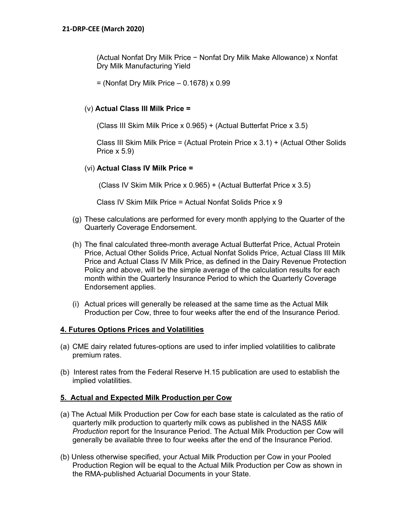(Actual Nonfat Dry Milk Price − Nonfat Dry Milk Make Allowance) x Nonfat Dry Milk Manufacturing Yield

 $=$  (Nonfat Dry Milk Price  $-$  0.1678) x 0.99

### (v) **Actual Class III Milk Price =**

(Class III Skim Milk Price x 0.965) + (Actual Butterfat Price x 3.5)

Class III Skim Milk Price = (Actual Protein Price x 3.1) + (Actual Other Solids Price x 5.9)

### (vi) **Actual Class IV Milk Price =**

(Class IV Skim Milk Price x 0.965) + (Actual Butterfat Price x 3.5)

Class IV Skim Milk Price = Actual Nonfat Solids Price x 9

- (g) These calculations are performed for every month applying to the Quarter of the Quarterly Coverage Endorsement.
- (h) The final calculated three-month average Actual Butterfat Price, Actual Protein Price, Actual Other Solids Price, Actual Nonfat Solids Price, Actual Class III Milk Price and Actual Class IV Milk Price, as defined in the Dairy Revenue Protection Policy and above, will be the simple average of the calculation results for each month within the Quarterly Insurance Period to which the Quarterly Coverage Endorsement applies.
- (i) Actual prices will generally be released at the same time as the Actual Milk Production per Cow, three to four weeks after the end of the Insurance Period.

### **4. Futures Options Prices and Volatilities**

- (a) CME dairy related futures-options are used to infer implied volatilities to calibrate premium rates.
- (b) Interest rates from the Federal Reserve H.15 publication are used to establish the implied volatilities.

### **5. Actual and Expected Milk Production per Cow**

- (a) The Actual Milk Production per Cow for each base state is calculated as the ratio of quarterly milk production to quarterly milk cows as published in the NASS *Milk Production* report for the Insurance Period. The Actual Milk Production per Cow will generally be available three to four weeks after the end of the Insurance Period.
- (b) Unless otherwise specified, your Actual Milk Production per Cow in your Pooled Production Region will be equal to the Actual Milk Production per Cow as shown in the RMA-published Actuarial Documents in your State.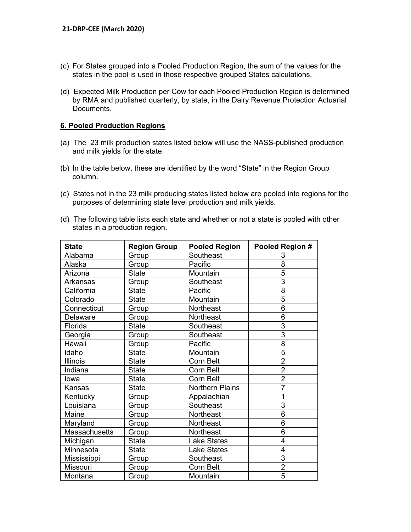- (c) For States grouped into a Pooled Production Region, the sum of the values for the states in the pool is used in those respective grouped States calculations.
- (d) Expected Milk Production per Cow for each Pooled Production Region is determined by RMA and published quarterly, by state, in the Dairy Revenue Protection Actuarial Documents.

#### **6. Pooled Production Regions**

- (a) The 23 milk production states listed below will use the NASS-published production and milk yields for the state.
- (b) In the table below, these are identified by the word "State" in the Region Group column.
- (c) States not in the 23 milk producing states listed below are pooled into regions for the purposes of determining state level production and milk yields.
- (d) The following table lists each state and whether or not a state is pooled with other states in a production region.

| <b>State</b>         | <b>Region Group</b> | <b>Pooled Region</b> | Pooled Region # |
|----------------------|---------------------|----------------------|-----------------|
| Alabama              | Group               | Southeast            | 3               |
| Alaska               | Group               | Pacific              | 8               |
| Arizona              | <b>State</b>        | Mountain             | 5               |
| Arkansas             | Group               | Southeast            | 3               |
| California           | <b>State</b>        | Pacific              | 8               |
| Colorado             | <b>State</b>        | Mountain             | $\overline{5}$  |
| Connecticut          | Group               | Northeast            | 6               |
| Delaware             | Group               | Northeast            | 6               |
| Florida              | <b>State</b>        | Southeast            | 3               |
| Georgia              | Group               | Southeast            | $\overline{3}$  |
| Hawaii               | Group               | Pacific              | 8               |
| Idaho                | <b>State</b>        | Mountain             | 5               |
| <b>Illinois</b>      | <b>State</b>        | Corn Belt            | $\overline{2}$  |
| Indiana              | <b>State</b>        | Corn Belt            | $\overline{2}$  |
| lowa                 | <b>State</b>        | Corn Belt            | $\overline{2}$  |
| Kansas               | <b>State</b>        | Northern Plains      | $\overline{7}$  |
| Kentucky             | Group               | Appalachian          | 1               |
| Louisiana            | Group               | Southeast            | 3               |
| Maine                | Group               | <b>Northeast</b>     | 6               |
| Maryland             | Group               | <b>Northeast</b>     | 6               |
| <b>Massachusetts</b> | Group               | Northeast            | 6               |
| Michigan             | <b>State</b>        | <b>Lake States</b>   | 4               |
| Minnesota            | <b>State</b>        | <b>Lake States</b>   | 4               |
| Mississippi          | Group               | Southeast            | 3               |
| Missouri             | Group               | Corn Belt            | $\overline{2}$  |
| Montana              | Group               | Mountain             | $\overline{5}$  |